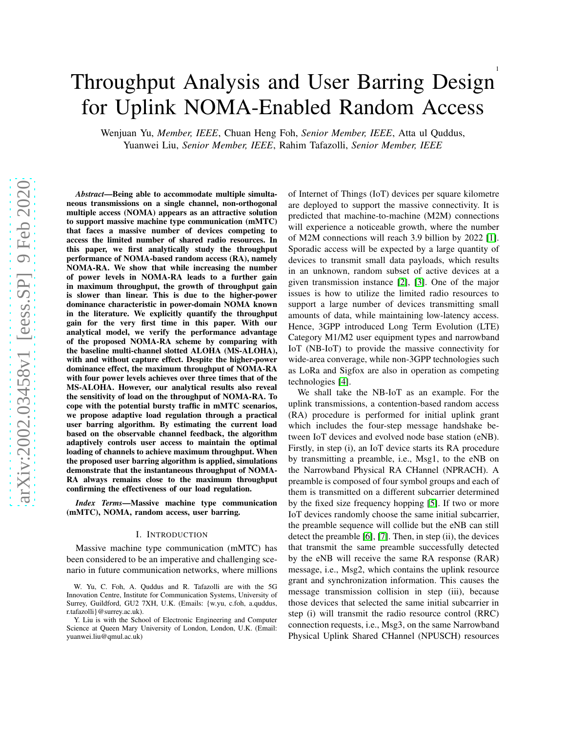# Throughput Analysis and User Barring Design for Uplink NOMA-Enabled Random Access

Wenjuan Yu, *Member, IEEE*, Chuan Heng Foh, *Senior Member, IEEE*, Atta ul Quddus, Yuanwei Liu, *Senior Member, IEEE*, Rahim Tafazolli, *Senior Member, IEEE*

*Abstract*—Being able to accommodate multiple simultaneous transmissions on a single channel, non-orthogonal multiple access (NOMA) appears as an attractive solution to support massive machine type communication (mMTC) that faces a massive number of devices competing to access the limited number of shared radio resources. In this paper, we first analytically study the throughput performance of NOMA-based random access (RA), namely NOMA-RA. We show that while increasing the number of power levels in NOMA-RA leads to a further gain in maximum throughput, the growth of throughput gain is slower than linear. This is due to the higher-power dominance characteristic in power-domain NOMA known in the literature. We explicitly quantify the throughput gain for the very first time in this paper. With our analytical model, we verify the performance advantage of the proposed NOMA-RA scheme by comparing with the baseline multi-channel slotted ALOHA (MS-ALOHA), with and without capture effect. Despite the higher-power dominance effect, the maximum throughput of NOMA-RA with four power levels achieves over three times that of the MS-ALOHA. However, our analytical results also reveal the sensitivity of load on the throughput of NOMA-RA. To cope with the potential bursty traffic in mMTC scenarios, we propose adaptive load regulation through a practical user barring algorithm. By estimating the current load based on the observable channel feedback, the algorithm adaptively controls user access to maintain the optimal loading of channels to achieve maximum throughput. When the proposed user barring algorithm is applied, simulations demonstrate that the instantaneous throughput of NOMA-RA always remains close to the maximum throughput confirming the effectiveness of our load regulation.

*Index Terms*—Massive machine type communication (mMTC), NOMA, random access, user barring.

## I. INTRODUCTION

Massive machine type communication (mMTC) has been considered to be an imperative and challenging scenario in future communication networks, where millions of Internet of Things (IoT) devices per square kilometre are deployed to support the massive connectivity. It is predicted that machine-to-machine (M2M) connections will experience a noticeable growth, where the number of M2M connections will reach 3.9 billion by 2022 [\[1\]](#page-14-0). Sporadic access will be expected by a large quantity of devices to transmit small data payloads, which results in an unknown, random subset of active devices at a given transmission instance [\[2\]](#page-14-1), [\[3\]](#page-14-2). One of the major issues is how to utilize the limited radio resources to support a large number of devices transmitting small amounts of data, while maintaining low-latency access. Hence, 3GPP introduced Long Term Evolution (LTE) Category M1/M2 user equipment types and narrowband IoT (NB-IoT) to provide the massive connectivity for wide-area converage, while non-3GPP technologies such as LoRa and Sigfox are also in operation as competing technologies [\[4\]](#page-14-3).

We shall take the NB-IoT as an example. For the uplink transmissions, a contention-based random access (RA) procedure is performed for initial uplink grant which includes the four-step message handshake between IoT devices and evolved node base station (eNB). Firstly, in step (i), an IoT device starts its RA procedure by transmitting a preamble, i.e., Msg1, to the eNB on the Narrowband Physical RA CHannel (NPRACH). A preamble is composed of four symbol groups and each of them is transmitted on a different subcarrier determined by the fixed size frequency hopping [\[5\]](#page-14-4). If two or more IoT devices randomly choose the same initial subcarrier, the preamble sequence will collide but the eNB can still detect the preamble [\[6\]](#page-14-5), [\[7\]](#page-14-6). Then, in step (ii), the devices that transmit the same preamble successfully detected by the eNB will receive the same RA response (RAR) message, i.e., Msg2, which contains the uplink resource grant and synchronization information. This causes the message transmission collision in step (iii), because those devices that selected the same initial subcarrier in step (i) will transmit the radio resource control (RRC) connection requests, i.e., Msg3, on the same Narrowband Physical Uplink Shared CHannel (NPUSCH) resources

W. Yu, C. Foh, A. Quddus and R. Tafazolli are with the 5G Innovation Centre, Institute for Communication Systems, University of Surrey, Guildford, GU2 7XH, U.K. (Emails: {w.yu, c.foh, a.quddus, r.tafazolli}@surrey.ac.uk).

Y. Liu is with the School of Electronic Engineering and Computer Science at Queen Mary University of London, London, U.K. (Email: yuanwei.liu@qmul.ac.uk)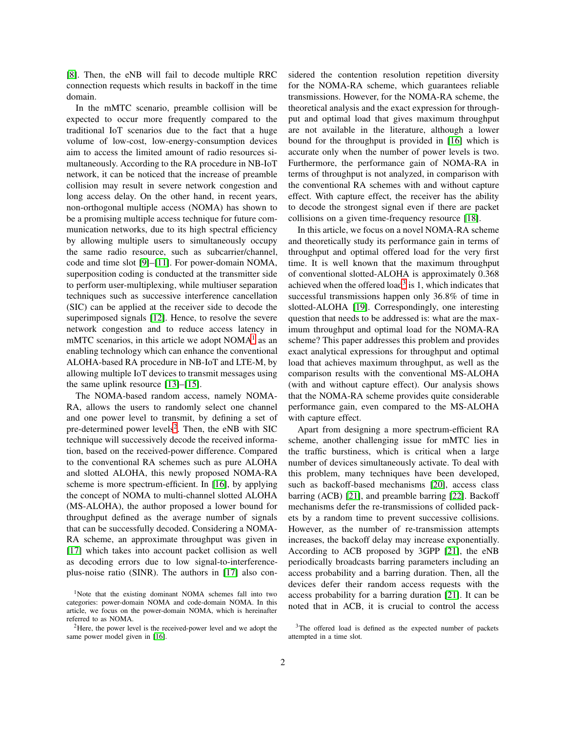[\[8\]](#page-14-7). Then, the eNB will fail to decode multiple RRC connection requests which results in backoff in the time domain.

In the mMTC scenario, preamble collision will be expected to occur more frequently compared to the traditional IoT scenarios due to the fact that a huge volume of low-cost, low-energy-consumption devices aim to access the limited amount of radio resources simultaneously. According to the RA procedure in NB-IoT network, it can be noticed that the increase of preamble collision may result in severe network congestion and long access delay. On the other hand, in recent years, non-orthogonal multiple access (NOMA) has shown to be a promising multiple access technique for future communication networks, due to its high spectral efficiency by allowing multiple users to simultaneously occupy the same radio resource, such as subcarrier/channel, code and time slot [\[9\]](#page-14-8)–[\[11\]](#page-14-9). For power-domain NOMA, superposition coding is conducted at the transmitter side to perform user-multiplexing, while multiuser separation techniques such as successive interference cancellation (SIC) can be applied at the receiver side to decode the superimposed signals [\[12\]](#page-14-10). Hence, to resolve the severe network congestion and to reduce access latency in mMTC scenarios, in this article we adopt  $NOMA<sup>1</sup>$  $NOMA<sup>1</sup>$  $NOMA<sup>1</sup>$  as an enabling technology which can enhance the conventional ALOHA-based RA procedure in NB-IoT and LTE-M, by allowing multiple IoT devices to transmit messages using the same uplink resource [\[13\]](#page-14-11)–[\[15\]](#page-14-12).

The NOMA-based random access, namely NOMA-RA, allows the users to randomly select one channel and one power level to transmit, by defining a set of pre-determined power levels<sup>[2](#page-1-1)</sup>. Then, the eNB with SIC technique will successively decode the received information, based on the received-power difference. Compared to the conventional RA schemes such as pure ALOHA and slotted ALOHA, this newly proposed NOMA-RA scheme is more spectrum-efficient. In [\[16\]](#page-14-13), by applying the concept of NOMA to multi-channel slotted ALOHA (MS-ALOHA), the author proposed a lower bound for throughput defined as the average number of signals that can be successfully decoded. Considering a NOMA-RA scheme, an approximate throughput was given in [\[17\]](#page-14-14) which takes into account packet collision as well as decoding errors due to low signal-to-interferenceplus-noise ratio (SINR). The authors in [\[17\]](#page-14-14) also con-

sidered the contention resolution repetition diversity for the NOMA-RA scheme, which guarantees reliable transmissions. However, for the NOMA-RA scheme, the theoretical analysis and the exact expression for throughput and optimal load that gives maximum throughput are not available in the literature, although a lower bound for the throughput is provided in [\[16\]](#page-14-13) which is accurate only when the number of power levels is two. Furthermore, the performance gain of NOMA-RA in terms of throughput is not analyzed, in comparison with the conventional RA schemes with and without capture effect. With capture effect, the receiver has the ability to decode the strongest signal even if there are packet collisions on a given time-frequency resource [\[18\]](#page-14-15).

In this article, we focus on a novel NOMA-RA scheme and theoretically study its performance gain in terms of throughput and optimal offered load for the very first time. It is well known that the maximum throughput of conventional slotted-ALOHA is approximately 0.368 achieved when the offered load<sup>[3](#page-1-2)</sup> is  $1$ , which indicates that successful transmissions happen only 36.8% of time in slotted-ALOHA [\[19\]](#page-14-16). Correspondingly, one interesting question that needs to be addressed is: what are the maximum throughput and optimal load for the NOMA-RA scheme? This paper addresses this problem and provides exact analytical expressions for throughput and optimal load that achieves maximum throughput, as well as the comparison results with the conventional MS-ALOHA (with and without capture effect). Our analysis shows that the NOMA-RA scheme provides quite considerable performance gain, even compared to the MS-ALOHA with capture effect.

Apart from designing a more spectrum-efficient RA scheme, another challenging issue for mMTC lies in the traffic burstiness, which is critical when a large number of devices simultaneously activate. To deal with this problem, many techniques have been developed, such as backoff-based mechanisms [\[20\]](#page-14-17), access class barring (ACB) [\[21\]](#page-14-18), and preamble barring [\[22\]](#page-14-19). Backoff mechanisms defer the re-transmissions of collided packets by a random time to prevent successive collisions. However, as the number of re-transmission attempts increases, the backoff delay may increase exponentially. According to ACB proposed by 3GPP [\[21\]](#page-14-18), the eNB periodically broadcasts barring parameters including an access probability and a barring duration. Then, all the devices defer their random access requests with the access probability for a barring duration [\[21\]](#page-14-18). It can be noted that in ACB, it is crucial to control the access

<span id="page-1-0"></span><sup>&</sup>lt;sup>1</sup>Note that the existing dominant NOMA schemes fall into two categories: power-domain NOMA and code-domain NOMA. In this article, we focus on the power-domain NOMA, which is hereinafter referred to as NOMA.

<span id="page-1-1"></span><sup>2</sup>Here, the power level is the received-power level and we adopt the same power model given in [\[16\]](#page-14-13).

<span id="page-1-2"></span><sup>&</sup>lt;sup>3</sup>The offered load is defined as the expected number of packets attempted in a time slot.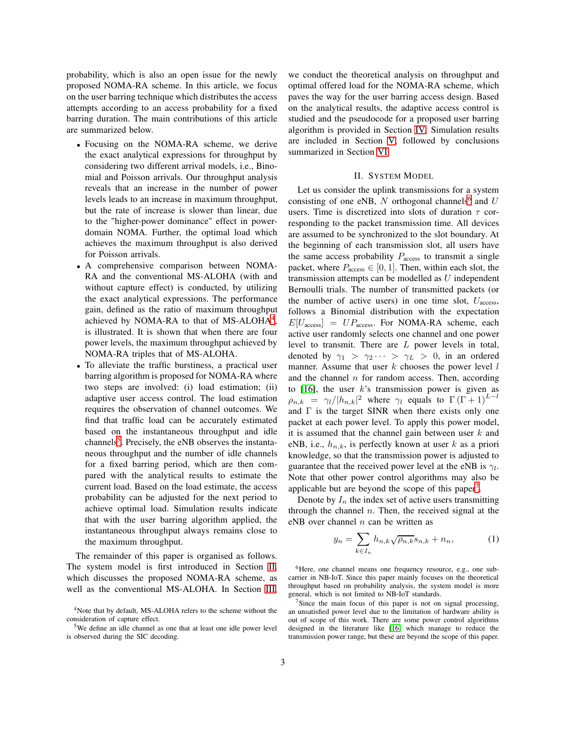probability, which is also an open issue for the newly proposed NOMA-RA scheme. In this article, we focus on the user barring technique which distributes the access attempts according to an access probability for a fixed barring duration. The main contributions of this article are summarized below.

- Focusing on the NOMA-RA scheme, we derive the exact analytical expressions for throughput by considering two different arrival models, i.e., Binomial and Poisson arrivals. Our throughput analysis reveals that an increase in the number of power levels leads to an increase in maximum throughput, but the rate of increase is slower than linear, due to the "higher-power dominance" effect in powerdomain NOMA. Further, the optimal load which achieves the maximum throughput is also derived for Poisson arrivals.
- A comprehensive comparison between NOMA-RA and the conventional MS-ALOHA (with and without capture effect) is conducted, by utilizing the exact analytical expressions. The performance gain, defined as the ratio of maximum throughput achieved by NOMA-RA to that of MS-ALOHA $4$ , is illustrated. It is shown that when there are four power levels, the maximum throughput achieved by NOMA-RA triples that of MS-ALOHA.
- To alleviate the traffic burstiness, a practical user barring algorithm is proposed for NOMA-RA where two steps are involved: (i) load estimation; (ii) adaptive user access control. The load estimation requires the observation of channel outcomes. We find that traffic load can be accurately estimated based on the instantaneous throughput and idle channels<sup>[5](#page-2-1)</sup>. Precisely, the eNB observes the instantaneous throughput and the number of idle channels for a fixed barring period, which are then compared with the analytical results to estimate the current load. Based on the load estimate, the access probability can be adjusted for the next period to achieve optimal load. Simulation results indicate that with the user barring algorithm applied, the instantaneous throughput always remains close to the maximum throughput.

The remainder of this paper is organised as follows. The system model is first introduced in Section [II,](#page-2-2) which discusses the proposed NOMA-RA scheme, as well as the conventional MS-ALOHA. In Section [III,](#page-4-0)

we conduct the theoretical analysis on throughput and optimal offered load for the NOMA-RA scheme, which paves the way for the user barring access design. Based on the analytical results, the adaptive access control is studied and the pseudocode for a proposed user barring algorithm is provided in Section [IV.](#page-6-0) Simulation results are included in Section [V,](#page-7-0) followed by conclusions summarized in Section [VI.](#page-12-0)

### II. SYSTEM MODEL

<span id="page-2-2"></span>Let us consider the uplink transmissions for a system consisting of one eNB,  $N$  orthogonal channels<sup>[6](#page-2-3)</sup> and  $U$ users. Time is discretized into slots of duration  $\tau$  corresponding to the packet transmission time. All devices are assumed to be synchronized to the slot boundary. At the beginning of each transmission slot, all users have the same access probability  $P_{\text{access}}$  to transmit a single packet, where  $P_{\text{access}} \in [0, 1]$ . Then, within each slot, the transmission attempts can be modelled as  $U$  independent Bernoulli trials. The number of transmitted packets (or the number of active users) in one time slot,  $U_{\text{access}}$ , follows a Binomial distribution with the expectation  $E[U_{\text{access}}] = UP_{\text{access}}$ . For NOMA-RA scheme, each active user randomly selects one channel and one power level to transmit. There are L power levels in total, denoted by  $\gamma_1 > \gamma_2 \cdots > \gamma_L > 0$ , in an ordered manner. Assume that user  $k$  chooses the power level  $l$ and the channel  $n$  for random access. Then, according to  $[16]$ , the user k's transmission power is given as  $\rho_{n,k} = \gamma_l/|h_{n,k}|^2$  where  $\gamma_l$  equals to  $\Gamma(\Gamma + 1)^{L-l}$ and  $\Gamma$  is the target SINR when there exists only one packet at each power level. To apply this power model, it is assumed that the channel gain between user  $k$  and eNB, i.e.,  $h_{n,k}$ , is perfectly known at user k as a priori knowledge, so that the transmission power is adjusted to guarantee that the received power level at the eNB is  $\gamma_l$ . Note that other power control algorithms may also be applicable but are beyond the scope of this paper<sup>[7](#page-2-4)</sup>.

Denote by  $I_n$  the index set of active users transmitting through the channel  $n$ . Then, the received signal at the eNB over channel  $n$  can be written as

$$
y_n = \sum_{k \in I_n} h_{n,k} \sqrt{\rho_{n,k}} s_{n,k} + n_n, \tag{1}
$$

<span id="page-2-3"></span><sup>6</sup>Here, one channel means one frequency resource, e.g., one subcarrier in NB-IoT. Since this paper mainly focuses on the theoretical throughput based on probability analysis, the system model is more general, which is not limited to NB-IoT standards.

<span id="page-2-4"></span> $7$ Since the main focus of this paper is not on signal processing, an unsatisfied power level due to the limitation of hardware ability is out of scope of this work. There are some power control algorithms designed in the literature like [\[16\]](#page-14-13) which manage to reduce the transmission power range, but these are beyond the scope of this paper.

<sup>4</sup>Note that by default, MS-ALOHA refers to the scheme without the consideration of capture effect.

<span id="page-2-1"></span><span id="page-2-0"></span><sup>5</sup>We define an idle channel as one that at least one idle power level is observed during the SIC decoding.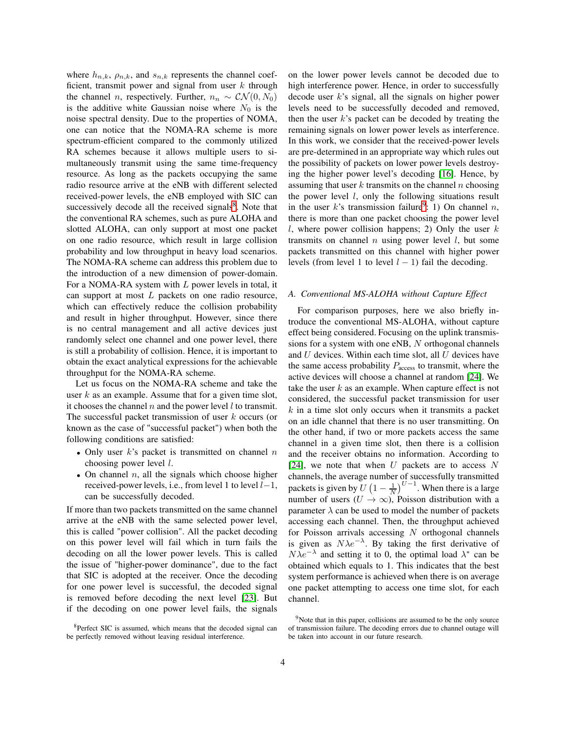where  $h_{n,k}$ ,  $\rho_{n,k}$ , and  $s_{n,k}$  represents the channel coefficient, transmit power and signal from user  $k$  through the channel *n*, respectively. Further,  $n_n \sim \mathcal{CN}(0, N_0)$ is the additive white Gaussian noise where  $N_0$  is the noise spectral density. Due to the properties of NOMA, one can notice that the NOMA-RA scheme is more spectrum-efficient compared to the commonly utilized RA schemes because it allows multiple users to simultaneously transmit using the same time-frequency resource. As long as the packets occupying the same radio resource arrive at the eNB with different selected received-power levels, the eNB employed with SIC can successively decode all the received signals<sup>[8](#page-3-0)</sup>. Note that the conventional RA schemes, such as pure ALOHA and slotted ALOHA, can only support at most one packet on one radio resource, which result in large collision probability and low throughput in heavy load scenarios. The NOMA-RA scheme can address this problem due to the introduction of a new dimension of power-domain. For a NOMA-RA system with L power levels in total, it can support at most L packets on one radio resource, which can effectively reduce the collision probability and result in higher throughput. However, since there is no central management and all active devices just randomly select one channel and one power level, there is still a probability of collision. Hence, it is important to obtain the exact analytical expressions for the achievable throughput for the NOMA-RA scheme.

Let us focus on the NOMA-RA scheme and take the user  $k$  as an example. Assume that for a given time slot, it chooses the channel  $n$  and the power level  $l$  to transmit. The successful packet transmission of user  $k$  occurs (or known as the case of "successful packet") when both the following conditions are satisfied:

- Only user  $k$ 's packet is transmitted on channel  $n$ choosing power level  $l$ .
- On channel  $n$ , all the signals which choose higher received-power levels, i.e., from level 1 to level  $l-1$ , can be successfully decoded.

If more than two packets transmitted on the same channel arrive at the eNB with the same selected power level, this is called "power collision". All the packet decoding on this power level will fail which in turn fails the decoding on all the lower power levels. This is called the issue of "higher-power dominance", due to the fact that SIC is adopted at the receiver. Once the decoding for one power level is successful, the decoded signal is removed before decoding the next level [\[23\]](#page-14-20). But if the decoding on one power level fails, the signals

on the lower power levels cannot be decoded due to high interference power. Hence, in order to successfully decode user k's signal, all the signals on higher power levels need to be successfully decoded and removed, then the user  $k$ 's packet can be decoded by treating the remaining signals on lower power levels as interference. In this work, we consider that the received-power levels are pre-determined in an appropriate way which rules out the possibility of packets on lower power levels destroying the higher power level's decoding [\[16\]](#page-14-13). Hence, by assuming that user k transmits on the channel n choosing the power level  $l$ , only the following situations result in the user k's transmission failure<sup>[9](#page-3-1)</sup>: 1) On channel n, there is more than one packet choosing the power level l, where power collision happens; 2) Only the user  $k$ transmits on channel  $n$  using power level  $l$ , but some packets transmitted on this channel with higher power levels (from level 1 to level  $l - 1$ ) fail the decoding.

## *A. Conventional MS-ALOHA without Capture Effect*

For comparison purposes, here we also briefly introduce the conventional MS-ALOHA, without capture effect being considered. Focusing on the uplink transmissions for a system with one eNB, N orthogonal channels and  $U$  devices. Within each time slot, all  $U$  devices have the same access probability  $P_{\text{access}}$  to transmit, where the active devices will choose a channel at random [\[24\]](#page-14-21). We take the user  $k$  as an example. When capture effect is not considered, the successful packet transmission for user  $k$  in a time slot only occurs when it transmits a packet on an idle channel that there is no user transmitting. On the other hand, if two or more packets access the same channel in a given time slot, then there is a collision and the receiver obtains no information. According to [\[24\]](#page-14-21), we note that when U packets are to access N channels, the average number of successfully transmitted packets is given by  $\overline{U}\left(1-\frac{1}{N}\right)^{U-1}$ . When there is a large number of users  $(U \to \infty)$ , Poisson distribution with a parameter  $\lambda$  can be used to model the number of packets accessing each channel. Then, the throughput achieved for Poisson arrivals accessing  $N$  orthogonal channels is given as  $N\lambda e^{-\lambda}$ . By taking the first derivative of  $N\lambda e^{-\lambda}$  and setting it to 0, the optimal load  $\lambda^*$  can be obtained which equals to 1. This indicates that the best system performance is achieved when there is on average one packet attempting to access one time slot, for each channel.

<span id="page-3-0"></span><sup>8</sup>Perfect SIC is assumed, which means that the decoded signal can be perfectly removed without leaving residual interference.

<span id="page-3-1"></span><sup>&</sup>lt;sup>9</sup>Note that in this paper, collisions are assumed to be the only source of transmission failure. The decoding errors due to channel outage will be taken into account in our future research.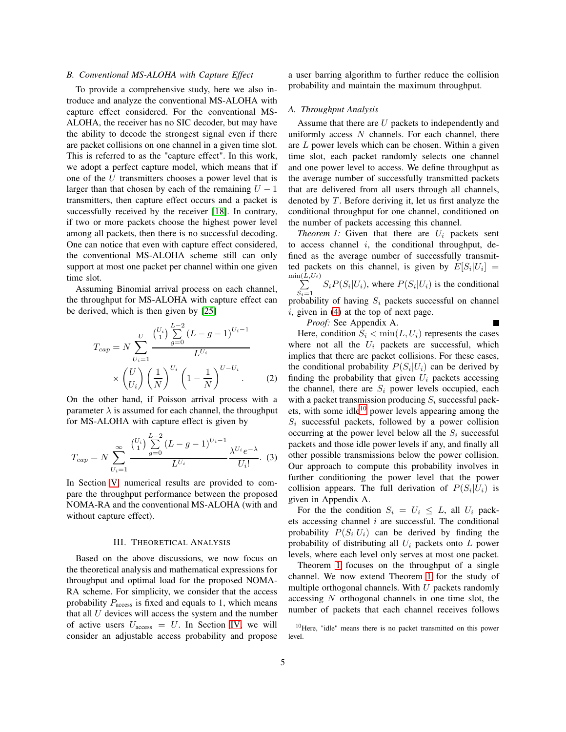# <span id="page-4-4"></span>*B. Conventional MS-ALOHA with Capture Effect*

To provide a comprehensive study, here we also introduce and analyze the conventional MS-ALOHA with capture effect considered. For the conventional MS-ALOHA, the receiver has no SIC decoder, but may have the ability to decode the strongest signal even if there are packet collisions on one channel in a given time slot. This is referred to as the "capture effect". In this work, we adopt a perfect capture model, which means that if one of the U transmitters chooses a power level that is larger than that chosen by each of the remaining  $U - 1$ transmitters, then capture effect occurs and a packet is successfully received by the receiver [\[18\]](#page-14-15). In contrary, if two or more packets choose the highest power level among all packets, then there is no successful decoding. One can notice that even with capture effect considered, the conventional MS-ALOHA scheme still can only support at most one packet per channel within one given time slot.

Assuming Binomial arrival process on each channel, the throughput for MS-ALOHA with capture effect can be derived, which is then given by [\[25\]](#page-14-22)

$$
T_{cap} = N \sum_{U_i=1}^{U} \frac{\binom{U_i}{1} \sum_{g=0}^{L-2} (L-g-1)^{U_i-1}}{L^{U_i}}
$$

$$
\times \binom{U}{U_i} \left(\frac{1}{N}\right)^{U_i} \left(1-\frac{1}{N}\right)^{U-U_i}.
$$
 (2)

On the other hand, if Poisson arrival process with a parameter  $\lambda$  is assumed for each channel, the throughput for MS-ALOHA with capture effect is given by

$$
T_{cap} = N \sum_{U_i=1}^{\infty} \frac{\binom{U_i}{1} \sum_{g=0}^{L-2} (L-g-1)^{U_i-1}}{L^{U_i}} \frac{\lambda^{U_i} e^{-\lambda}}{U_i!}.
$$
 (3)

In Section [V,](#page-7-0) numerical results are provided to compare the throughput performance between the proposed NOMA-RA and the conventional MS-ALOHA (with and without capture effect).

## III. THEORETICAL ANALYSIS

<span id="page-4-0"></span>Based on the above discussions, we now focus on the theoretical analysis and mathematical expressions for throughput and optimal load for the proposed NOMA-RA scheme. For simplicity, we consider that the access probability  $P_{\text{access}}$  is fixed and equals to 1, which means that all  $U$  devices will access the system and the number of active users  $U_{\text{access}} = U$ . In Section [IV,](#page-6-0) we will consider an adjustable access probability and propose

a user barring algorithm to further reduce the collision probability and maintain the maximum throughput.

## <span id="page-4-3"></span>*A. Throughput Analysis*

Assume that there are  $U$  packets to independently and uniformly access  $N$  channels. For each channel, there are L power levels which can be chosen. Within a given time slot, each packet randomly selects one channel and one power level to access. We define throughput as the average number of successfully transmitted packets that are delivered from all users through all channels, denoted by  $T$ . Before deriving it, let us first analyze the conditional throughput for one channel, conditioned on the number of packets accessing this channel.

<span id="page-4-2"></span>*Theorem 1:* Given that there are  $U_i$  packets sent to access channel  $i$ , the conditional throughput, defined as the average number of successfully transmitted packets on this channel, is given by  $E[S_i | U_i] =$  $\sum^{ \min\left( L\right) }$  $L, U_i)$  $S_i P(S_i | U_i)$ , where  $P(S_i | U_i)$  is the conditional  $S_i=1$ probability of having  $S_i$  packets successful on channel  $i$ , given in [\(4\)](#page-5-0) at the top of next page. Е

*Proof:* See Appendix A.

Here, condition  $S_i < \min(L, U_i)$  represents the cases where not all the  $U_i$  packets are successful, which implies that there are packet collisions. For these cases, the conditional probability  $P(S_i | U_i)$  can be derived by finding the probability that given  $U_i$  packets accessing the channel, there are  $S_i$  power levels occupied, each with a packet transmission producing  $S_i$  successful packets, with some idle $10$  power levels appearing among the  $S_i$  successful packets, followed by a power collision occurring at the power level below all the  $S_i$  successful packets and those idle power levels if any, and finally all other possible transmissions below the power collision. Our approach to compute this probability involves in further conditioning the power level that the power collision appears. The full derivation of  $P(S_i|U_i)$  is given in Appendix A.

For the the condition  $S_i = U_i \leq L$ , all  $U_i$  packets accessing channel  $i$  are successful. The conditional probability  $P(S_i | U_i)$  can be derived by finding the probability of distributing all  $U_i$  packets onto  $L$  power levels, where each level only serves at most one packet.

Theorem [1](#page-4-2) focuses on the throughput of a single channel. We now extend Theorem [1](#page-4-2) for the study of multiple orthogonal channels. With  $U$  packets randomly accessing N orthogonal channels in one time slot, the number of packets that each channel receives follows

<span id="page-4-1"></span><sup>10</sup>Here, "idle" means there is no packet transmitted on this power level.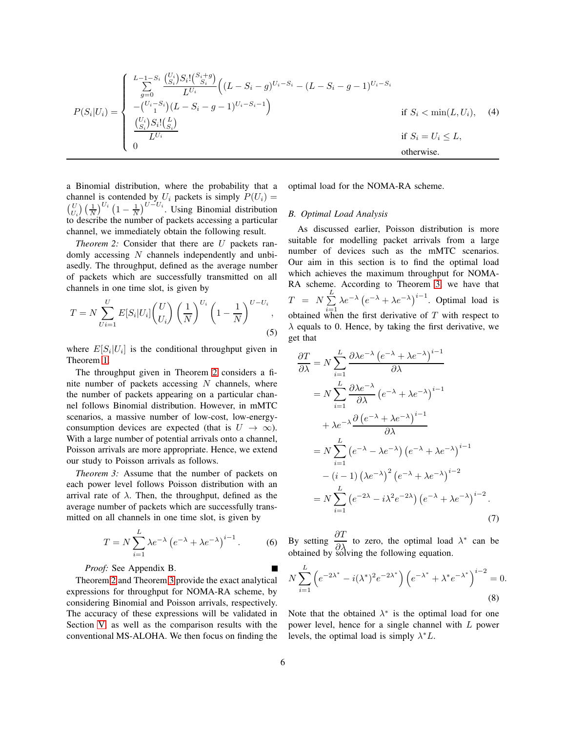<span id="page-5-0"></span>
$$
P(S_i|U_i) = \begin{cases} L_{-1-S_i} \left( \frac{U_i}{S_i} S_i! \binom{S_i+g}{S_i} \right) \left( (L - S_i - g)^{U_i - S_i} - (L - S_i - g - 1)^{U_i - S_i} \right) \\ - \binom{U_i - S_i}{1} (L - S_i - g - 1)^{U_i - S_i - 1} \\ \frac{\binom{U_i}{S_i} S_i! \binom{L}{S_i}}{L^{U_i}} & \text{if } S_i < \min(L, U_i), \quad (4) \\ 0 & & \text{if } S_i = U_i \le L, \\ 0 & \text{otherwise.} \end{cases}
$$

a Binomial distribution, where the probability that a channel is contended by  $U_i$  packets is simply  $P(U_i) =$  $\binom{U}{U_i}$  $\left(\frac{1}{N}\right)^{U_i}$  $\left(1-\frac{1}{N}\right)^{U-U_i}$ . Using Binomial distribution to describe the number of packets accessing a particular channel, we immediately obtain the following result.

*Theorem 2:* Consider that there are U packets randomly accessing  $N$  channels independently and unbiasedly. The throughput, defined as the average number of packets which are successfully transmitted on all channels in one time slot, is given by

$$
T = N \sum_{Ui=1}^{U} E[S_i | U_i] \binom{U}{U_i} \left(\frac{1}{N}\right)^{U_i} \left(1 - \frac{1}{N}\right)^{U - U_i},
$$
\n(5)

where  $E[S_i | U_i]$  is the conditional throughput given in Theorem [1.](#page-4-2)

The throughput given in Theorem [2](#page-5-1) considers a finite number of packets accessing  $N$  channels, where the number of packets appearing on a particular channel follows Binomial distribution. However, in mMTC scenarios, a massive number of low-cost, low-energyconsumption devices are expected (that is  $U \rightarrow \infty$ ). With a large number of potential arrivals onto a channel, Poisson arrivals are more appropriate. Hence, we extend our study to Poisson arrivals as follows.

*Theorem 3:* Assume that the number of packets on each power level follows Poisson distribution with an arrival rate of  $\lambda$ . Then, the throughput, defined as the average number of packets which are successfully transmitted on all channels in one time slot, is given by

$$
T = N \sum_{i=1}^{L} \lambda e^{-\lambda} \left( e^{-\lambda} + \lambda e^{-\lambda} \right)^{i-1}.
$$
 (6)

# *Proof:* See Appendix B.

Theorem [2](#page-5-1) and Theorem [3](#page-5-2) provide the exact analytical expressions for throughput for NOMA-RA scheme, by considering Binomial and Poisson arrivals, respectively. The accuracy of these expressions will be validated in Section [V,](#page-7-0) as well as the comparison results with the conventional MS-ALOHA. We then focus on finding the optimal load for the NOMA-RA scheme.

## <span id="page-5-3"></span>*B. Optimal Load Analysis*

<span id="page-5-1"></span>As discussed earlier, Poisson distribution is more suitable for modelling packet arrivals from a large number of devices such as the mMTC scenarios. Our aim in this section is to find the optimal load which achieves the maximum throughput for NOMA-RA scheme. According to Theorem [3,](#page-5-2) we have that  $T$  =  $N \sum^{L}$  $i=1$  $\lambda e^{-\lambda} (e^{-\lambda} + \lambda e^{-\lambda})^{i-1}$ . Optimal load is obtained when the first derivative of  $T$  with respect to  $\lambda$  equals to 0. Hence, by taking the first derivative, we get that

$$
\frac{\partial T}{\partial \lambda} = N \sum_{i=1}^{L} \frac{\partial \lambda e^{-\lambda} (e^{-\lambda} + \lambda e^{-\lambda})^{i-1}}{\partial \lambda}
$$
  
\n
$$
= N \sum_{i=1}^{L} \frac{\partial \lambda e^{-\lambda}}{\partial \lambda} (e^{-\lambda} + \lambda e^{-\lambda})^{i-1}
$$
  
\n
$$
+ \lambda e^{-\lambda} \frac{\partial (e^{-\lambda} + \lambda e^{-\lambda})^{i-1}}{\partial \lambda}
$$
  
\n
$$
= N \sum_{i=1}^{L} (e^{-\lambda} - \lambda e^{-\lambda}) (e^{-\lambda} + \lambda e^{-\lambda})^{i-1}
$$
  
\n
$$
- (i - 1) (\lambda e^{-\lambda})^2 (e^{-\lambda} + \lambda e^{-\lambda})^{i-2}
$$
  
\n
$$
= N \sum_{i=1}^{L} (e^{-2\lambda} - i \lambda^2 e^{-2\lambda}) (e^{-\lambda} + \lambda e^{-\lambda})^{i-2}.
$$
  
\n(7)

<span id="page-5-2"></span>By setting  $\frac{\partial T}{\partial \lambda}$  to zero, the optimal load  $\lambda^*$  can be obtained by solving the following equation.

$$
N\sum_{i=1}^{L} \left(e^{-2\lambda^*} - i(\lambda^*)^2 e^{-2\lambda^*}\right) \left(e^{-\lambda^*} + \lambda^* e^{-\lambda^*}\right)^{i-2} = 0.
$$
\n(8)

Note that the obtained  $\lambda^*$  is the optimal load for one power level, hence for a single channel with L power levels, the optimal load is simply  $\lambda^* L$ .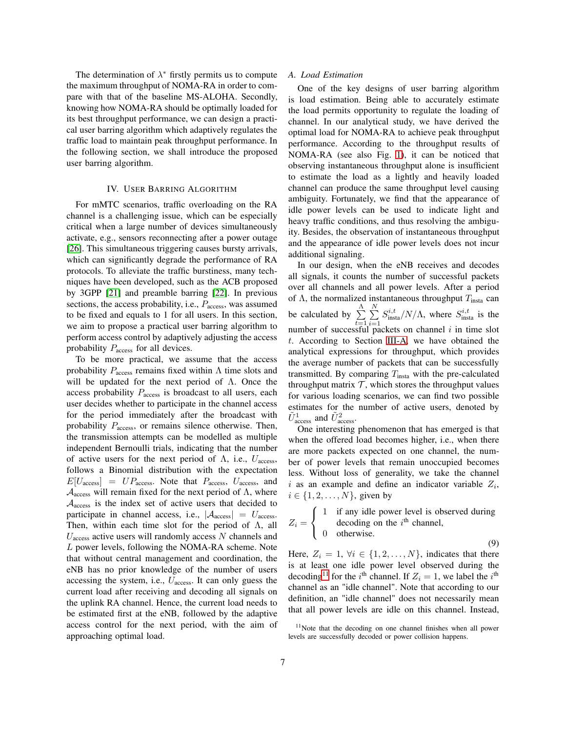The determination of  $\lambda^*$  firstly permits us to compute the maximum throughput of NOMA-RA in order to compare with that of the baseline MS-ALOHA. Secondly, knowing how NOMA-RA should be optimally loaded for its best throughput performance, we can design a practical user barring algorithm which adaptively regulates the traffic load to maintain peak throughput performance. In the following section, we shall introduce the proposed user barring algorithm.

## IV. USER BARRING ALGORITHM

<span id="page-6-0"></span>For mMTC scenarios, traffic overloading on the RA channel is a challenging issue, which can be especially critical when a large number of devices simultaneously activate, e.g., sensors reconnecting after a power outage [\[26\]](#page-14-23). This simultaneous triggering causes bursty arrivals, which can significantly degrade the performance of RA protocols. To alleviate the traffic burstiness, many techniques have been developed, such as the ACB proposed by 3GPP [\[21\]](#page-14-18) and preamble barring [\[22\]](#page-14-19). In previous sections, the access probability, i.e.,  $P_{\text{access}}$ , was assumed to be fixed and equals to 1 for all users. In this section, we aim to propose a practical user barring algorithm to perform access control by adaptively adjusting the access probability  $P_{\text{access}}$  for all devices.

To be more practical, we assume that the access probability  $P_{\text{access}}$  remains fixed within  $\Lambda$  time slots and will be updated for the next period of Λ. Once the access probability  $P_{\text{access}}$  is broadcast to all users, each user decides whether to participate in the channel access for the period immediately after the broadcast with probability  $P_{\text{access}}$ , or remains silence otherwise. Then, the transmission attempts can be modelled as multiple independent Bernoulli trials, indicating that the number of active users for the next period of  $\Lambda$ , i.e.,  $U_{\text{access}}$ , follows a Binomial distribution with the expectation  $E[U_{\text{access}}] = UP_{\text{access}}$ . Note that  $P_{\text{access}}$ ,  $U_{\text{access}}$ , and  $A_{\text{access}}$  will remain fixed for the next period of  $\Lambda$ , where  $A<sub>access</sub>$  is the index set of active users that decided to participate in channel access, i.e.,  $|\mathcal{A}_{\text{access}}| = U_{\text{access}}$ . Then, within each time slot for the period of  $\Lambda$ , all  $U_{\text{access}}$  active users will randomly access N channels and L power levels, following the NOMA-RA scheme. Note that without central management and coordination, the eNB has no prior knowledge of the number of users accessing the system, i.e.,  $U_{\text{access}}$ . It can only guess the current load after receiving and decoding all signals on the uplink RA channel. Hence, the current load needs to be estimated first at the eNB, followed by the adaptive access control for the next period, with the aim of approaching optimal load.

## *A. Load Estimation*

One of the key designs of user barring algorithm is load estimation. Being able to accurately estimate the load permits opportunity to regulate the loading of channel. In our analytical study, we have derived the optimal load for NOMA-RA to achieve peak throughput performance. According to the throughput results of NOMA-RA (see also Fig. [1\)](#page-8-0), it can be noticed that observing instantaneous throughput alone is insufficient to estimate the load as a lightly and heavily loaded channel can produce the same throughput level causing ambiguity. Fortunately, we find that the appearance of idle power levels can be used to indicate light and heavy traffic conditions, and thus resolving the ambiguity. Besides, the observation of instantaneous throughput and the appearance of idle power levels does not incur additional signaling.

In our design, when the eNB receives and decodes all signals, it counts the number of successful packets over all channels and all power levels. After a period of  $\Lambda$ , the normalized instantaneous throughput  $T_{\text{insta}}$  can be calculated by  $\sum_{n=1}^{\Lambda}$  $t=1$  $\sum_{i=1}^{N}$  $i=1$  $S_{\text{insta}}^{i,t}/N/\Lambda$ , where  $S_{\text{insta}}^{i,t}$  is the number of successful packets on channel  $i$  in time slot t. According to Section [III-A,](#page-4-3) we have obtained the analytical expressions for throughput, which provides the average number of packets that can be successfully transmitted. By comparing  $T_{\text{insta}}$  with the pre-calculated throughput matrix  $\mathcal T$ , which stores the throughput values for various loading scenarios, we can find two possible estimates for the number of active users, denoted by  $\tilde{U}_{\text{access}}^1$  and  $\tilde{U}_{\text{access}}^2$ .

One interesting phenomenon that has emerged is that when the offered load becomes higher, i.e., when there are more packets expected on one channel, the number of power levels that remain unoccupied becomes less. Without loss of generality, we take the channel i as an example and define an indicator variable  $Z_i$ ,  $i \in \{1, 2, \ldots, N\}$ , given by

$$
Z_i = \begin{cases} 1 & \text{if any idle power level is observed during} \\ 0 & \text{otherwise.} \end{cases}
$$

Here,  $Z_i = 1$ ,  $\forall i \in \{1, 2, \ldots, N\}$ , indicates that there is at least one idle power level observed during the decoding<sup>[11](#page-6-1)</sup> for the *i*<sup>th</sup> channel. If  $Z_i = 1$ , we label the *i*<sup>th</sup> channel as an "idle channel". Note that according to our definition, an "idle channel" does not necessarily mean that all power levels are idle on this channel. Instead,

<span id="page-6-1"></span><sup>&</sup>lt;sup>11</sup>Note that the decoding on one channel finishes when all power levels are successfully decoded or power collision happens.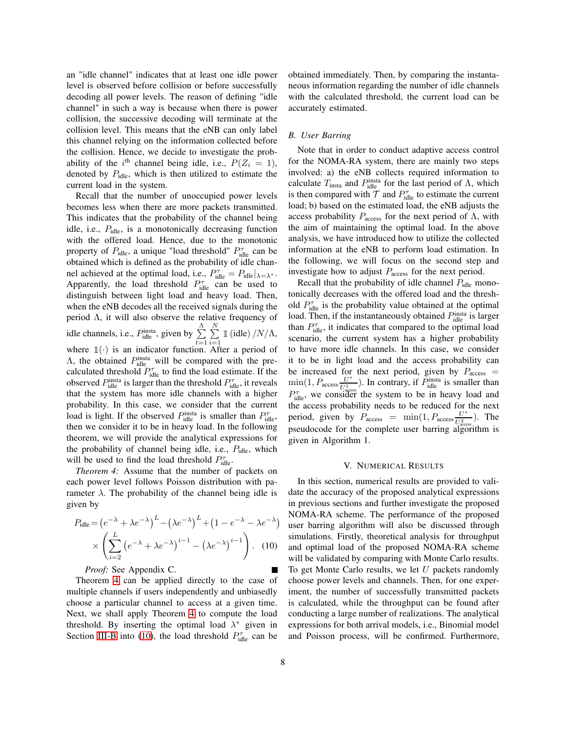an "idle channel" indicates that at least one idle power level is observed before collision or before successfully decoding all power levels. The reason of defining "idle channel" in such a way is because when there is power collision, the successive decoding will terminate at the collision level. This means that the eNB can only label this channel relying on the information collected before the collision. Hence, we decide to investigate the probability of the i<sup>th</sup> channel being idle, i.e.,  $P(Z_i = 1)$ , denoted by  $P_{idle}$ , which is then utilized to estimate the current load in the system.

Recall that the number of unoccupied power levels becomes less when there are more packets transmitted. This indicates that the probability of the channel being idle, i.e.,  $P_{idle}$ , is a monotonically decreasing function with the offered load. Hence, due to the monotonic property of  $P_{idle}$ , a unique "load threshold"  $P_{idle}^{\tau}$  can be obtained which is defined as the probability of idle channel achieved at the optimal load, i.e.,  $P_{idle}^{\tau} = P_{idle} |_{\lambda = \lambda^*}.$ Apparently, the load threshold  $P_{idle}^{\tau}$  can be used to distinguish between light load and heavy load. Then, when the eNB decodes all the received signals during the period Λ, it will also observe the relative frequency of idle channels, i.e.,  $P_{\text{idle}}^{\text{insta}}$ , given by  $\sum_{n=1}^{N}$  $\sum_{t=1}^{\Lambda} \sum_{i=1}^{N}$  $i=1$  $\mathbb{1}$  (idle)  $/N/\Lambda$ , where  $\mathbb{1}(\cdot)$  is an indicator function. After a period of  $\Lambda$ , the obtained  $P_{\text{idle}}^{\text{insta}}$  will be compared with the precalculated threshold  $P_{\text{idle}}^{\tau}$  to find the load estimate. If the observed  $P_{\text{idle}}^{\text{insta}}$  is larger than the threshold  $P_{\text{idle}}^{\tau}$ , it reveals that the system has more idle channels with a higher probability. In this case, we consider that the current load is light. If the observed  $P_{\text{idle}}^{\text{insta}}$  is smaller than  $P_{\text{idle}}^{\tau}$ , then we consider it to be in heavy load. In the following theorem, we will provide the analytical expressions for the probability of channel being idle, i.e.,  $P_{idle}$ , which will be used to find the load threshold  $P_{idle}^{\tau}$ .

*Theorem 4:* Assume that the number of packets on each power level follows Poisson distribution with parameter  $\lambda$ . The probability of the channel being idle is given by

$$
P_{\text{idle}} = \left(e^{-\lambda} + \lambda e^{-\lambda}\right)^L - \left(\lambda e^{-\lambda}\right)^L + \left(1 - e^{-\lambda} - \lambda e^{-\lambda}\right)
$$

$$
\times \left(\sum_{i=2}^L \left(e^{-\lambda} + \lambda e^{-\lambda}\right)^{i-1} - \left(\lambda e^{-\lambda}\right)^{i-1}\right). \quad (10)
$$

*Proof:* See Appendix C. Theorem [4](#page-7-1) can be applied directly to the case of

multiple channels if users independently and unbiasedly choose a particular channel to access at a given time. Next, we shall apply Theorem [4](#page-7-1) to compute the load threshold. By inserting the optimal load  $\lambda^*$  given in Section [III-B](#page-5-3) into [\(10\)](#page-7-2), the load threshold  $P_{\text{idle}}^{\tau}$  can be obtained immediately. Then, by comparing the instantaneous information regarding the number of idle channels with the calculated threshold, the current load can be accurately estimated.

# *B. User Barring*

Note that in order to conduct adaptive access control for the NOMA-RA system, there are mainly two steps involved: a) the eNB collects required information to calculate  $T_{\text{insta}}$  and  $P_{\text{idle}}^{\text{insta}}$  for the last period of  $\Lambda$ , which is then compared with  $T$  and  $P_{idle}^{\tau}$  to estimate the current load; b) based on the estimated load, the eNB adjusts the access probability  $P_{\text{access}}$  for the next period of  $\Lambda$ , with the aim of maintaining the optimal load. In the above analysis, we have introduced how to utilize the collected information at the eNB to perform load estimation. In the following, we will focus on the second step and investigate how to adjust  $P_{\text{access}}$  for the next period.

Recall that the probability of idle channel  $P_{idle}$  monotonically decreases with the offered load and the threshold  $P_{\text{idle}}^{\tau}$  is the probability value obtained at the optimal load. Then, if the instantaneously obtained  $P_{\text{idle}}^{\text{insta}}$  is larger than  $P_{\text{idle}}^{\tau}$ , it indicates that compared to the optimal load scenario, the current system has a higher probability to have more idle channels. In this case, we consider it to be in light load and the access probability can be increased for the next period, given by  $P_{\text{access}} =$  $\min(1, P_{\text{access}} \frac{U^*}{\tilde{U}^1})$  $\frac{U^*}{\tilde{U}_{\text{adcess}}^1}$ ). In contrary, if  $P_{\text{idle}}^{\text{insta}}$  is smaller than  $P_{\text{idle}}^{\tau}$ , we consider the system to be in heavy load and the access probability needs to be reduced for the next period, given by  $P_{\text{access}} = \min(1, P_{\text{access}} \frac{U^*}{\tilde{U}^2})$  $\frac{U^+}{\tilde{U}^2_{\text{access}}}$ ). The pseudocode for the complete user barring algorithm is given in Algorithm 1.

#### V. NUMERICAL RESULTS

<span id="page-7-2"></span><span id="page-7-1"></span><span id="page-7-0"></span>In this section, numerical results are provided to validate the accuracy of the proposed analytical expressions in previous sections and further investigate the proposed NOMA-RA scheme. The performance of the proposed user barring algorithm will also be discussed through simulations. Firstly, theoretical analysis for throughput and optimal load of the proposed NOMA-RA scheme will be validated by comparing with Monte Carlo results. To get Monte Carlo results, we let  $U$  packets randomly choose power levels and channels. Then, for one experiment, the number of successfully transmitted packets is calculated, while the throughput can be found after conducting a large number of realizations. The analytical expressions for both arrival models, i.e., Binomial model and Poisson process, will be confirmed. Furthermore,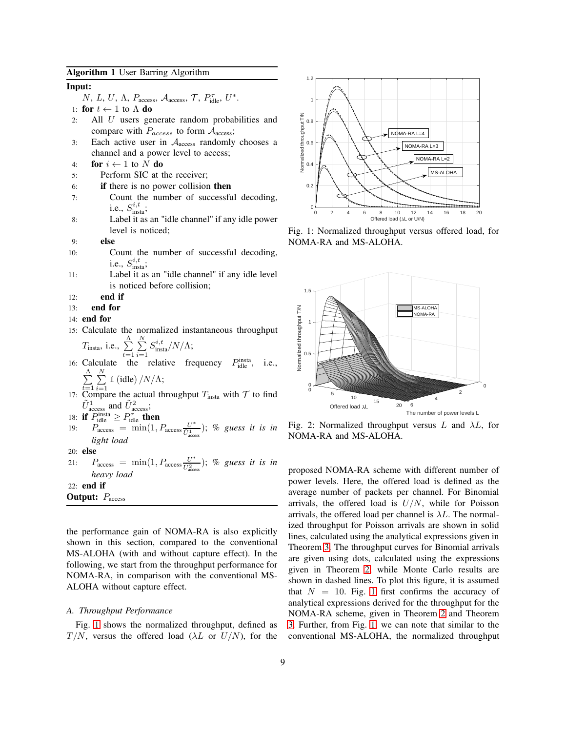# Algorithm 1 User Barring Algorithm

# Input:

N, L, U,  $\Lambda$ , Paccess, Aaccess, T, P<sub>idle</sub>, U<sup>\*</sup>.

- 1: **for**  $t \leftarrow 1$  to  $\Lambda$  **do**<br>2: All *U* users ge
- All  $U$  users generate random probabilities and compare with  $P_{access}$  to form  $A_{access}$ ;
- 3: Each active user in  $A<sub>access</sub>$  randomly chooses a channel and a power level to access;
- 4: **for**  $i \leftarrow 1$  to N **do**<br>5: **Perform SIC** at t
- Perform SIC at the receiver;
- 6: if there is no power collision then
- 7: Count the number of successful decoding, i.e.,  $S_{\text{insta}}^{i,t}$ ;
- 8: Label it as an "idle channel" if any idle power level is noticed;
- 9: else
- 10: Count the number of successful decoding, i.e.,  $S_{\text{insta}}^{i,t}$ ;
- 11: Label it as an "idle channel" if any idle level is noticed before collision;
- 12: end if
- 13: end for
- 14: end for
- 15: Calculate the normalized instantaneous throughput  $\sum\limits_{i}\limits^N\sum\limits_{i}^N S^{i,t}_{\rm insta}/N/\Lambda;$

$$
T_{\text{insta}}
$$
, i.e.,  $\sum_{t=1} \sum_{i=1} S_{\text{insta}}^{i,t} / N / \Lambda$ ;

- 16: Calculate the relative frequency  $P_{idle}^{insta}$ , i.e.,  $\sum^{\Lambda}$  $\sum_{t=1}^{\Lambda} \sum_{i=1}^{N}$  $\mathbb{1}$  (idle)  $/N/\Lambda$ ;
- $i=1$ 17: Compare the actual throughput  $T_{\text{insta}}$  with  $\mathcal T$  to find  $\tilde{U}_{\text{access}}^1$  and  $\tilde{U}_{\text{access}}^2$ ;
- 18: if  $P_{\text{idle}}^{\text{insta}} \geq P_{\text{idle}}^{\tau}$  then
- 19:  $P_{\text{access}} = \min(1, P_{\text{access}} \frac{U^*}{U^1})$  $\frac{U^+}{\tilde{U}^1_{\rm access}}$ ); % guess it is in *light load*

20: else

21:  $P_{\text{access}} = \min(1, P_{\text{access}} \frac{U^*}{\tilde{U}^2})$  $\frac{U^+}{\tilde{U}^2_{\text{access}}}$ ); % guess it is in *heavy load*

22: end if **Output:**  $P_{\text{access}}$ 

the performance gain of NOMA-RA is also explicitly shown in this section, compared to the conventional MS-ALOHA (with and without capture effect). In the following, we start from the throughput performance for NOMA-RA, in comparison with the conventional MS-ALOHA without capture effect.

# *A. Throughput Performance*

Fig. [1](#page-8-0) shows the normalized throughput, defined as  $T/N$ , versus the offered load ( $\lambda L$  or  $U/N$ ), for the

<span id="page-8-0"></span>

<span id="page-8-1"></span>Fig. 1: Normalized throughput versus offered load, for NOMA-RA and MS-ALOHA.



Fig. 2: Normalized throughput versus  $L$  and  $\lambda L$ , for NOMA-RA and MS-ALOHA.

proposed NOMA-RA scheme with different number of power levels. Here, the offered load is defined as the average number of packets per channel. For Binomial arrivals, the offered load is  $U/N$ , while for Poisson arrivals, the offered load per channel is  $\lambda L$ . The normalized throughput for Poisson arrivals are shown in solid lines, calculated using the analytical expressions given in Theorem [3.](#page-5-2) The throughput curves for Binomial arrivals are given using dots, calculated using the expressions given in Theorem [2,](#page-5-1) while Monte Carlo results are shown in dashed lines. To plot this figure, it is assumed that  $N = 10$  $N = 10$  $N = 10$ . Fig. 1 first confirms the accuracy of analytical expressions derived for the throughput for the NOMA-RA scheme, given in Theorem [2](#page-5-1) and Theorem [3.](#page-5-2) Further, from Fig. [1,](#page-8-0) we can note that similar to the conventional MS-ALOHA, the normalized throughput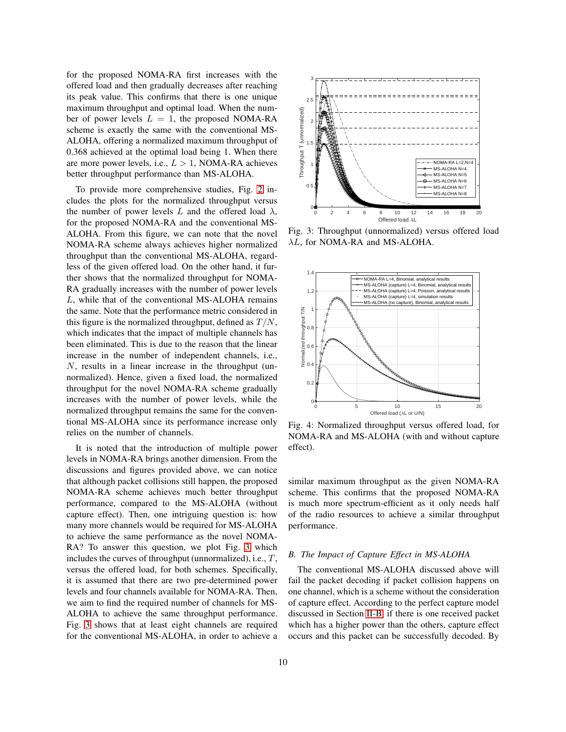for the proposed NOMA-RA first increases with the offered load and then gradually decreases after reaching its peak value. This confirms that there is one unique maximum throughput and optimal load. When the number of power levels  $L = 1$ , the proposed NOMA-RA scheme is exactly the same with the conventional MS-ALOHA, offering a normalized maximum throughput of 0.368 achieved at the optimal load being 1. When there are more power levels, i.e.,  $L > 1$ , NOMA-RA achieves better throughput performance than MS-ALOHA.

To provide more comprehensive studies, Fig. [2](#page-8-1) includes the plots for the normalized throughput versus the number of power levels L and the offered load  $\lambda$ , for the proposed NOMA-RA and the conventional MS-ALOHA. From this figure, we can note that the novel NOMA-RA scheme always achieves higher normalized throughput than the conventional MS-ALOHA, regardless of the given offered load. On the other hand, it further shows that the normalized throughput for NOMA-RA gradually increases with the number of power levels L, while that of the conventional MS-ALOHA remains the same. Note that the performance metric considered in this figure is the normalized throughput, defined as  $T/N$ , which indicates that the impact of multiple channels has been eliminated. This is due to the reason that the linear increase in the number of independent channels, i.e., N, results in a linear increase in the throughput (unnormalized). Hence, given a fixed load, the normalized throughput for the novel NOMA-RA scheme gradually increases with the number of power levels, while the normalized throughput remains the same for the conventional MS-ALOHA since its performance increase only relies on the number of channels.

It is noted that the introduction of multiple power levels in NOMA-RA brings another dimension. From the discussions and figures provided above, we can notice that although packet collisions still happen, the proposed NOMA-RA scheme achieves much better throughput performance, compared to the MS-ALOHA (without capture effect). Then, one intriguing question is: how many more channels would be required for MS-ALOHA to achieve the same performance as the novel NOMA-RA? To answer this question, we plot Fig. [3](#page-9-0) which includes the curves of throughput (unnormalized), i.e.,  $T$ , versus the offered load, for both schemes. Specifically, it is assumed that there are two pre-determined power levels and four channels available for NOMA-RA. Then, we aim to find the required number of channels for MS-ALOHA to achieve the same throughput performance. Fig. [3](#page-9-0) shows that at least eight channels are required for the conventional MS-ALOHA, in order to achieve a

<span id="page-9-0"></span>

<span id="page-9-1"></span>Fig. 3: Throughput (unnormalized) versus offered load λL, for NOMA-RA and MS-ALOHA.



Fig. 4: Normalized throughput versus offered load, for NOMA-RA and MS-ALOHA (with and without capture effect).

similar maximum throughput as the given NOMA-RA scheme. This confirms that the proposed NOMA-RA is much more spectrum-efficient as it only needs half of the radio resources to achieve a similar throughput performance.

# *B. The Impact of Capture Effect in MS-ALOHA*

The conventional MS-ALOHA discussed above will fail the packet decoding if packet collision happens on one channel, which is a scheme without the consideration of capture effect. According to the perfect capture model discussed in Section [II-B,](#page-4-4) if there is one received packet which has a higher power than the others, capture effect occurs and this packet can be successfully decoded. By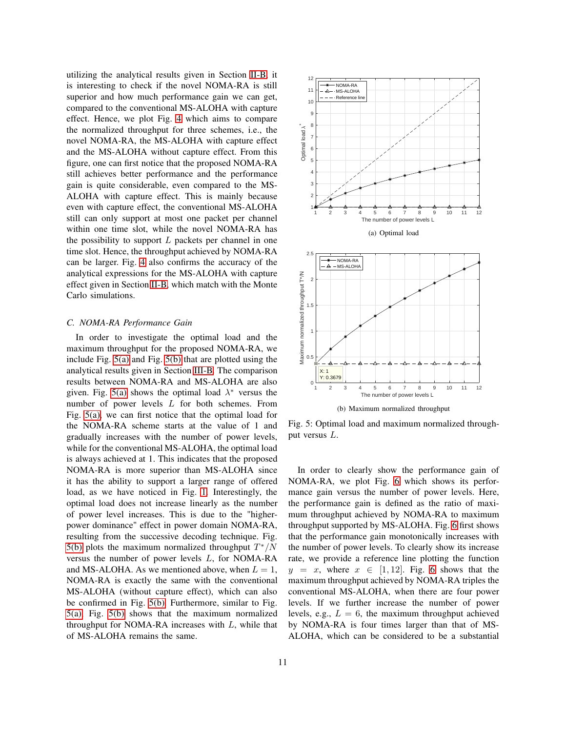utilizing the analytical results given in Section [II-B,](#page-4-4) it is interesting to check if the novel NOMA-RA is still superior and how much performance gain we can get, compared to the conventional MS-ALOHA with capture effect. Hence, we plot Fig. [4](#page-9-1) which aims to compare the normalized throughput for three schemes, i.e., the novel NOMA-RA, the MS-ALOHA with capture effect and the MS-ALOHA without capture effect. From this figure, one can first notice that the proposed NOMA-RA still achieves better performance and the performance gain is quite considerable, even compared to the MS-ALOHA with capture effect. This is mainly because even with capture effect, the conventional MS-ALOHA still can only support at most one packet per channel within one time slot, while the novel NOMA-RA has the possibility to support  $L$  packets per channel in one time slot. Hence, the throughput achieved by NOMA-RA can be larger. Fig. [4](#page-9-1) also confirms the accuracy of the analytical expressions for the MS-ALOHA with capture effect given in Section [II-B,](#page-4-4) which match with the Monte Carlo simulations.

# *C. NOMA-RA Performance Gain*

In order to investigate the optimal load and the maximum throughput for the proposed NOMA-RA, we include Fig. [5\(a\)](#page-10-0) and Fig. [5\(b\)](#page-10-1) that are plotted using the analytical results given in Section [III-B.](#page-5-3) The comparison results between NOMA-RA and MS-ALOHA are also given. Fig. [5\(a\)](#page-10-0) shows the optimal load  $\lambda^*$  versus the number of power levels L for both schemes. From Fig. [5\(a\),](#page-10-0) we can first notice that the optimal load for the NOMA-RA scheme starts at the value of 1 and gradually increases with the number of power levels, while for the conventional MS-ALOHA, the optimal load is always achieved at 1. This indicates that the proposed NOMA-RA is more superior than MS-ALOHA since it has the ability to support a larger range of offered load, as we have noticed in Fig. [1.](#page-8-0) Interestingly, the optimal load does not increase linearly as the number of power level increases. This is due to the "higherpower dominance" effect in power domain NOMA-RA, resulting from the successive decoding technique. Fig. [5\(b\)](#page-10-1) plots the maximum normalized throughput  $T^*/N$ versus the number of power levels L, for NOMA-RA and MS-ALOHA. As we mentioned above, when  $L = 1$ , NOMA-RA is exactly the same with the conventional MS-ALOHA (without capture effect), which can also be confirmed in Fig. [5\(b\).](#page-10-1) Furthermore, similar to Fig. [5\(a\),](#page-10-0) Fig. [5\(b\)](#page-10-1) shows that the maximum normalized throughput for NOMA-RA increases with  $L$ , while that of MS-ALOHA remains the same.

<span id="page-10-0"></span>

<span id="page-10-1"></span>Fig. 5: Optimal load and maximum normalized throughput versus L.

In order to clearly show the performance gain of NOMA-RA, we plot Fig. [6](#page-11-0) which shows its performance gain versus the number of power levels. Here, the performance gain is defined as the ratio of maximum throughput achieved by NOMA-RA to maximum throughput supported by MS-ALOHA. Fig. [6](#page-11-0) first shows that the performance gain monotonically increases with the number of power levels. To clearly show its increase rate, we provide a reference line plotting the function  $y = x$ , where  $x \in [1, 12]$ . Fig. [6](#page-11-0) shows that the maximum throughput achieved by NOMA-RA triples the conventional MS-ALOHA, when there are four power levels. If we further increase the number of power levels, e.g.,  $L = 6$ , the maximum throughput achieved by NOMA-RA is four times larger than that of MS-ALOHA, which can be considered to be a substantial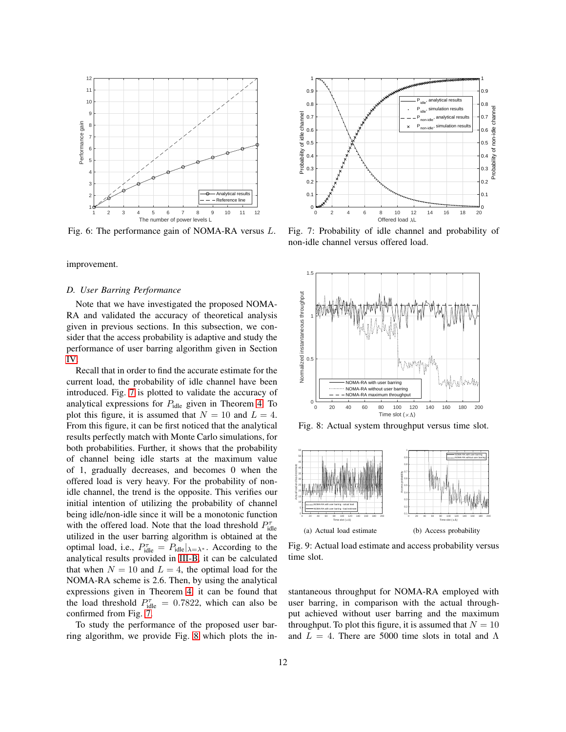<span id="page-11-0"></span>

Fig. 6: The performance gain of NOMA-RA versus L.

improvement.

## *D. User Barring Performance*

Note that we have investigated the proposed NOMA-RA and validated the accuracy of theoretical analysis given in previous sections. In this subsection, we consider that the access probability is adaptive and study the performance of user barring algorithm given in Section [IV.](#page-6-0)

Recall that in order to find the accurate estimate for the current load, the probability of idle channel have been introduced. Fig. [7](#page-11-1) is plotted to validate the accuracy of analytical expressions for  $P_{idle}$  given in Theorem [4.](#page-7-1) To plot this figure, it is assumed that  $N = 10$  and  $L = 4$ . From this figure, it can be first noticed that the analytical results perfectly match with Monte Carlo simulations, for both probabilities. Further, it shows that the probability of channel being idle starts at the maximum value of 1, gradually decreases, and becomes 0 when the offered load is very heavy. For the probability of nonidle channel, the trend is the opposite. This verifies our initial intention of utilizing the probability of channel being idle/non-idle since it will be a monotonic function with the offered load. Note that the load threshold  $P_{\text{idle}}^{\tau}$ utilized in the user barring algorithm is obtained at the optimal load, i.e.,  $P_{\text{idle}}^{\tau} = P_{\text{idle}}|_{\lambda = \lambda^*}$ . According to the analytical results provided in [III-B,](#page-5-3) it can be calculated that when  $N = 10$  and  $L = 4$ , the optimal load for the NOMA-RA scheme is 2.6. Then, by using the analytical expressions given in Theorem [4,](#page-7-1) it can be found that the load threshold  $P_{idle}^{\tau} = 0.7822$ , which can also be confirmed from Fig. [7.](#page-11-1)

To study the performance of the proposed user barring algorithm, we provide Fig. [8](#page-11-2) which plots the in-

<span id="page-11-1"></span>

Fig. 7: Probability of idle channel and probability of non-idle channel versus offered load.

<span id="page-11-2"></span>

Fig. 8: Actual system throughput versus time slot.

<span id="page-11-3"></span>

<span id="page-11-4"></span>Fig. 9: Actual load estimate and access probability versus time slot.

stantaneous throughput for NOMA-RA employed with user barring, in comparison with the actual throughput achieved without user barring and the maximum throughput. To plot this figure, it is assumed that  $N = 10$ and  $L = 4$ . There are 5000 time slots in total and  $\Lambda$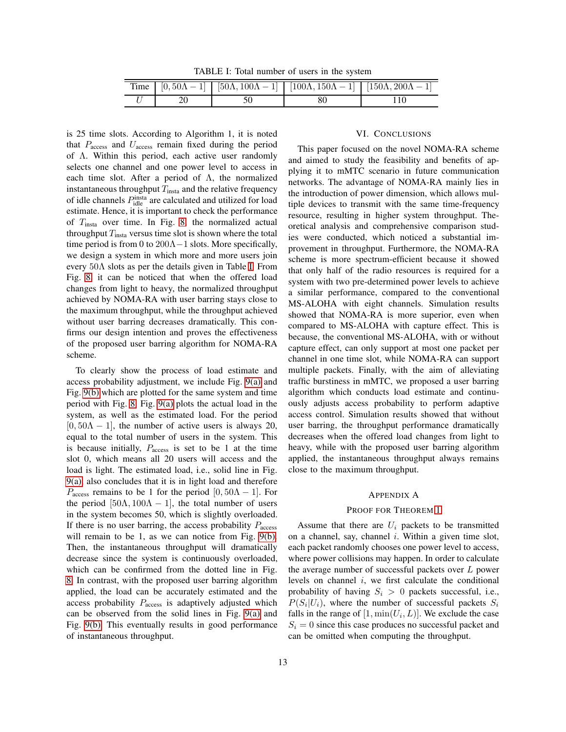TABLE I: Total number of users in the system

<span id="page-12-1"></span>

|  | Time $[0, 50\Lambda - 1]$ $[50\Lambda, 100\Lambda - 1]$ $[100\Lambda, 150\Lambda - 1]$ $[150\Lambda, 200\Lambda - 1]$ |  |
|--|-----------------------------------------------------------------------------------------------------------------------|--|
|  |                                                                                                                       |  |

is 25 time slots. According to Algorithm 1, it is noted that  $P_{\text{access}}$  and  $U_{\text{access}}$  remain fixed during the period of Λ. Within this period, each active user randomly selects one channel and one power level to access in each time slot. After a period of  $\Lambda$ , the normalized instantaneous throughput  $T_{\text{insta}}$  and the relative frequency of idle channels  $P_{\text{idle}}^{\text{insta}}$  are calculated and utilized for load estimate. Hence, it is important to check the performance of Tinsta over time. In Fig. [8,](#page-11-2) the normalized actual throughput  $T_{\text{insta}}$  versus time slot is shown where the total time period is from 0 to  $200\Lambda - 1$  slots. More specifically, we design a system in which more and more users join every 50Λ slots as per the details given in Table [I.](#page-12-1) From Fig. [8,](#page-11-2) it can be noticed that when the offered load changes from light to heavy, the normalized throughput achieved by NOMA-RA with user barring stays close to the maximum throughput, while the throughput achieved without user barring decreases dramatically. This confirms our design intention and proves the effectiveness of the proposed user barring algorithm for NOMA-RA scheme.

To clearly show the process of load estimate and access probability adjustment, we include Fig. [9\(a\)](#page-11-3) and Fig. [9\(b\)](#page-11-4) which are plotted for the same system and time period with Fig. [8.](#page-11-2) Fig. [9\(a\)](#page-11-3) plots the actual load in the system, as well as the estimated load. For the period  $[0, 50\Lambda - 1]$ , the number of active users is always 20, equal to the total number of users in the system. This is because initially,  $P_{\text{access}}$  is set to be 1 at the time slot 0, which means all 20 users will access and the load is light. The estimated load, i.e., solid line in Fig. [9\(a\),](#page-11-3) also concludes that it is in light load and therefore  $P_{\text{access}}$  remains to be 1 for the period [0, 50 $\Lambda - 1$ ]. For the period [50 $\Lambda$ , 100 $\Lambda$  – 1], the total number of users in the system becomes 50, which is slightly overloaded. If there is no user barring, the access probability  $P_{\text{access}}$ will remain to be 1, as we can notice from Fig. [9\(b\).](#page-11-4) Then, the instantaneous throughput will dramatically decrease since the system is continuously overloaded, which can be confirmed from the dotted line in Fig. [8.](#page-11-2) In contrast, with the proposed user barring algorithm applied, the load can be accurately estimated and the access probability  $P_{\text{access}}$  is adaptively adjusted which can be observed from the solid lines in Fig. [9\(a\)](#page-11-3) and Fig. [9\(b\).](#page-11-4) This eventually results in good performance of instantaneous throughput.

### VI. CONCLUSIONS

<span id="page-12-0"></span>This paper focused on the novel NOMA-RA scheme and aimed to study the feasibility and benefits of applying it to mMTC scenario in future communication networks. The advantage of NOMA-RA mainly lies in the introduction of power dimension, which allows multiple devices to transmit with the same time-frequency resource, resulting in higher system throughput. Theoretical analysis and comprehensive comparison studies were conducted, which noticed a substantial improvement in throughput. Furthermore, the NOMA-RA scheme is more spectrum-efficient because it showed that only half of the radio resources is required for a system with two pre-determined power levels to achieve a similar performance, compared to the conventional MS-ALOHA with eight channels. Simulation results showed that NOMA-RA is more superior, even when compared to MS-ALOHA with capture effect. This is because, the conventional MS-ALOHA, with or without capture effect, can only support at most one packet per channel in one time slot, while NOMA-RA can support multiple packets. Finally, with the aim of alleviating traffic burstiness in mMTC, we proposed a user barring algorithm which conducts load estimate and continuously adjusts access probability to perform adaptive access control. Simulation results showed that without user barring, the throughput performance dramatically decreases when the offered load changes from light to heavy, while with the proposed user barring algorithm applied, the instantaneous throughput always remains close to the maximum throughput.

#### APPENDIX A

## PROOF FOR THEOREM [1](#page-4-2)

Assume that there are  $U_i$  packets to be transmitted on a channel, say, channel  $i$ . Within a given time slot, each packet randomly chooses one power level to access, where power collisions may happen. In order to calculate the average number of successful packets over  $L$  power levels on channel  $i$ , we first calculate the conditional probability of having  $S_i > 0$  packets successful, i.e.,  $P(S_i|U_i)$ , where the number of successful packets  $S_i$ falls in the range of  $[1, \min(U_i, L)]$ . We exclude the case  $S_i = 0$  since this case produces no successful packet and can be omitted when computing the throughput.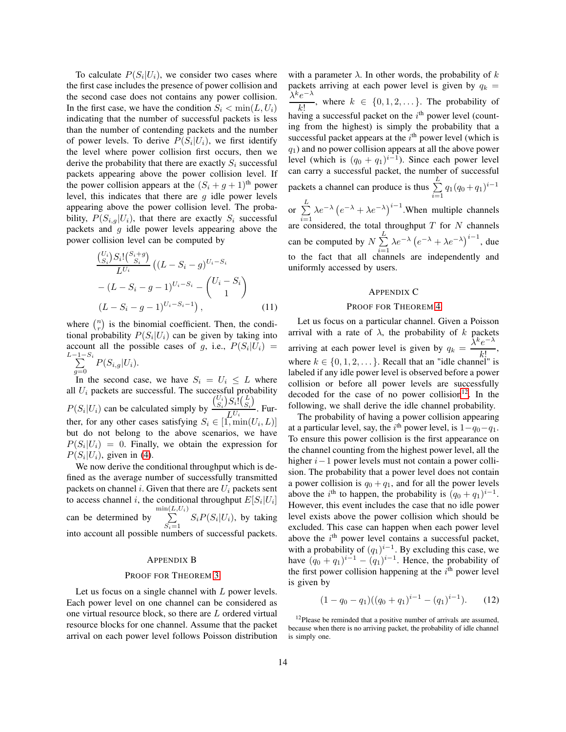To calculate  $P(S_i|U_i)$ , we consider two cases where the first case includes the presence of power collision and the second case does not contains any power collision. In the first case, we have the condition  $S_i < \min(L, U_i)$ indicating that the number of successful packets is less than the number of contending packets and the number of power levels. To derive  $P(S_i|U_i)$ , we first identify the level where power collision first occurs, then we derive the probability that there are exactly  $S_i$  successful packets appearing above the power collision level. If the power collision appears at the  $(S_i + g + 1)$ <sup>th</sup> power level, this indicates that there are  $q$  idle power levels appearing above the power collision level. The probability,  $P(S_{i,q}|U_i)$ , that there are exactly  $S_i$  successful packets and  $g$  idle power levels appearing above the power collision level can be computed by

$$
\frac{\binom{U_i}{S_i} S_i! \binom{S_i+g}{S_i}}{L^{U_i}} \left( (L - S_i - g)^{U_i - S_i} - (L - S_i - g - 1)^{U_i - S_i} - \binom{U_i - S_i}{1} \right)
$$
\n
$$
(L - S_i - g - 1)^{U_i - S_i - 1}, \qquad (11)
$$

where  $\binom{n}{r}$  is the binomial coefficient. Then, the conditional probability  $P(S_i | U_i)$  can be given by taking into account all the possible cases of g, i.e.,  $P(S_i|U_i) =$  $L \sum$  $1-S_i$  $\sum_{g=0} P(S_{i,g}|U_i).$ 

In the second case, we have  $S_i = U_i \leq L$  where all  $U_i$  packets are successful. The successful probability  $P(S_i|U_i)$  can be calculated simply by  $\binom{U_i}{S_i} S_i \cdot \binom{L}{S_i}$  $\frac{L^{U_i} \setminus S_i}{L^{U_i}}$ . Further, for any other cases satisfying  $S_i \in [1, \min(U_i, L)]$ but do not belong to the above scenarios, we have  $P(S_i|U_i) = 0$ . Finally, we obtain the expression for  $P(S_i|U_i)$ , given in [\(4\)](#page-5-0).

We now derive the conditional throughput which is defined as the average number of successfully transmitted packets on channel i. Given that there are  $U_i$  packets sent to access channel *i*, the conditional throughput  $E[S_i | U_i]$ can be determined by  $\sum^{\min\left(L\right)}$  $L, U_i)$  $\sum_{S_i=1}$   $S_i P(S_i | U_i)$ , by taking into account all possible numbers of successful packets.

## APPENDIX B

## PROOF FOR THEOREM [3](#page-5-2)

Let us focus on a single channel with L power levels. Each power level on one channel can be considered as one virtual resource block, so there are L ordered virtual resource blocks for one channel. Assume that the packet arrival on each power level follows Poisson distribution

with a parameter  $\lambda$ . In other words, the probability of k packets arriving at each power level is given by  $q_k =$  $\lambda^k e^{-\lambda}$ k!  $\overrightarrow{ }$ , where  $k \in \{0,1,2,\ldots\}$ . The probability of having a successful packet on the  $i<sup>th</sup>$  power level (counting from the highest) is simply the probability that a successful packet appears at the  $i<sup>th</sup>$  power level (which is  $q_1$ ) and no power collision appears at all the above power level (which is  $(q_0 + q_1)^{i-1}$ ). Since each power level can carry a successful packet, the number of successful packets a channel can produce is thus  $\sum^{L}$  $\sum_{i=1}^{6} q_1 (q_0 + q_1)^{i-1}$ or  $\sum^L$  $\lambda e^{-\lambda} (e^{-\lambda} + \lambda e^{-\lambda})^{i-1}$ . When multiple channels

 $i=1$ are considered, the total throughput  $T$  for  $N$  channels can be computed by  $N \sum_{n=1}^{L}$  $i=1$  $\lambda e^{-\lambda} (e^{-\lambda} + \lambda e^{-\lambda})^{i-1}$ , due to the fact that all channels are independently and uniformly accessed by users.

#### APPENDIX C

### PROOF FOR THEOREM [4](#page-7-1)

Let us focus on a particular channel. Given a Poisson arrival with a rate of  $\lambda$ , the probability of k packets arriving at each power level is given by  $q_k = \frac{\lambda}{\sqrt{k}}$ k e where  $k \in \{0, 1, 2, \dots\}$ . Recall that an "idle channel" is , labeled if any idle power level is observed before a power collision or before all power levels are successfully decoded for the case of no power collision<sup>[12](#page-13-0)</sup>. In the following, we shall derive the idle channel probability.

The probability of having a power collision appearing at a particular level, say, the  $i<sup>th</sup>$  power level, is  $1-q_0-q_1$ . To ensure this power collision is the first appearance on the channel counting from the highest power level, all the higher i−1 power levels must not contain a power collision. The probability that a power level does not contain a power collision is  $q_0 + q_1$ , and for all the power levels above the *i*<sup>th</sup> to happen, the probability is  $(q_0 + q_1)^{i-1}$ . However, this event includes the case that no idle power level exists above the power collision which should be excluded. This case can happen when each power level above the  $i<sup>th</sup>$  power level contains a successful packet, with a probability of  $(q_1)^{i-1}$ . By excluding this case, we have  $(q_0 + q_1)^{i-1} - (q_1)^{i-1}$ . Hence, the probability of the first power collision happening at the  $i<sup>th</sup>$  power level is given by

$$
(1 - q_0 - q_1)((q_0 + q_1)^{i-1} - (q_1)^{i-1}).
$$
 (12)

<span id="page-13-0"></span> $12$ Please be reminded that a positive number of arrivals are assumed, because when there is no arriving packet, the probability of idle channel is simply one.